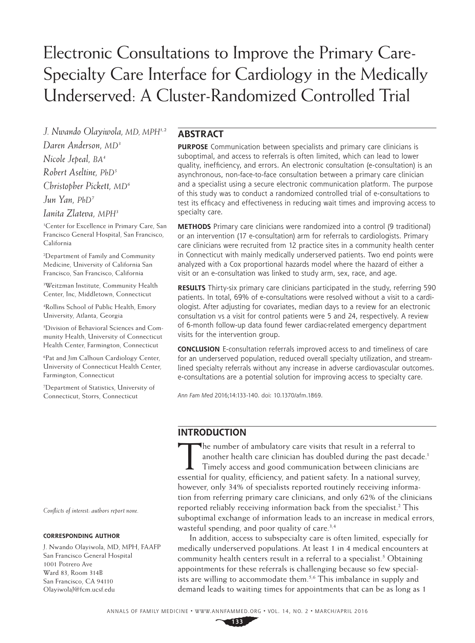# Electronic Consultations to Improve the Primary Care-Specialty Care Interface for Cardiology in the Medically Underserved: A Cluster-Randomized Controlled Trial

*J. Nwando Olayiwola, MD, MPH1,2 Daren Anderson, MD3 Nicole Jepeal, BA4 Robert Aseltine, PhD5 Christopher Pickett, MD6 Jun Yan, PhD7*

*Ianita Zlateva, MPH3*

1 Center for Excellence in Primary Care, San Francisco General Hospital, San Francisco, California

2 Department of Family and Community Medicine, University of California San Francisco, San Francisco, California

3 Weitzman Institute, Community Health Center, Inc, Middletown, Connecticut

4 Rollins School of Public Health, Emory University, Atlanta, Georgia

5 Division of Behavioral Sciences and Community Health, University of Connecticut Health Center, Farmington, Connecticut

6 Pat and Jim Calhoun Cardiology Center, University of Connecticut Health Center, Farmington, Connecticut

7 Department of Statistics, University of Connecticut, Storrs, Connecticut

*Conflicts of interest: authors report none.*

#### **CORRESPONDING AUTHOR**

J. Nwando Olayiwola, MD, MPH, FAAFP San Francisco General Hospital 1001 Potrero Ave Ward 83, Room 314B San Francisco, CA 94110 [OlayiwolaJ@fcm.ucsf.edu](mailto:OlayiwolaJ@fcm.ucsf.edu)

#### **ABSTRACT**

**PURPOSE** Communication between specialists and primary care clinicians is suboptimal, and access to referrals is often limited, which can lead to lower quality, inefficiency, and errors. An electronic consultation (e-consultation) is an asynchronous, non-face-to-face consultation between a primary care clinician and a specialist using a secure electronic communication platform. The purpose of this study was to conduct a randomized controlled trial of e-consultations to test its efficacy and effectiveness in reducing wait times and improving access to specialty care.

**METHODS** Primary care clinicians were randomized into a control (9 traditional) or an intervention (17 e-consultation) arm for referrals to cardiologists. Primary care clinicians were recruited from 12 practice sites in a community health center in Connecticut with mainly medically underserved patients. Two end points were analyzed with a Cox proportional hazards model where the hazard of either a visit or an e-consultation was linked to study arm, sex, race, and age.

**RESULTS** Thirty-six primary care clinicians participated in the study, referring 590 patients. In total, 69% of e-consultations were resolved without a visit to a cardiologist. After adjusting for covariates, median days to a review for an electronic consultation vs a visit for control patients were 5 and 24, respectively. A review of 6-month follow-up data found fewer cardiac-related emergency department visits for the intervention group.

**CONCLUSION** E-consultation referrals improved access to and timeliness of care for an underserved population, reduced overall specialty utilization, and streamlined specialty referrals without any increase in adverse cardiovascular outcomes. e-consultations are a potential solution for improving access to specialty care.

*Ann Fam Med* 2016;14:133-140. doi: 10.1370/afm.1869.

# **INTRODUCTION**

The number of ambulatory care visits that result in a referral to another health care clinician has doubled during the past decade.<sup>1</sup> Timely access and good communication between clinicians are essential for quality, efficiency, and patient safety. In a national survey, however, only 34% of specialists reported routinely receiving information from referring primary care clinicians, and only 62% of the clinicians reported reliably receiving information back from the specialist.2 This suboptimal exchange of information leads to an increase in medical errors, wasteful spending, and poor quality of care.<sup>3,4</sup>

In addition, access to subspecialty care is often limited, especially for medically underserved populations. At least 1 in 4 medical encounters at community health centers result in a referral to a specialist.<sup>5</sup> Obtaining appointments for these referrals is challenging because so few specialists are willing to accommodate them.<sup>5,6</sup> This imbalance in supply and demand leads to waiting times for appointments that can be as long as 1

**133**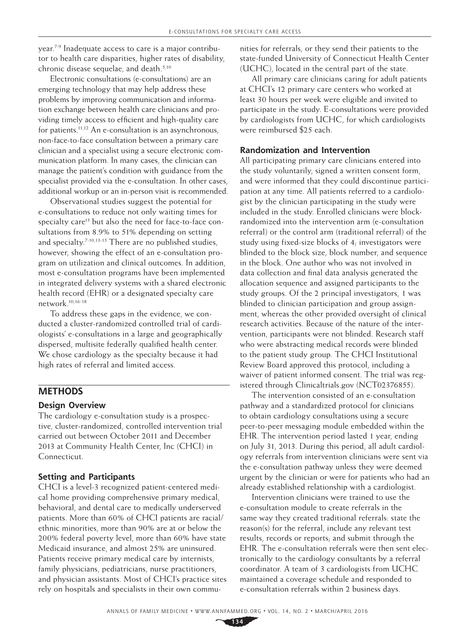year.7-9 Inadequate access to care is a major contributor to health care disparities, higher rates of disability, chronic disease sequelae, and death.<sup>5,10</sup>

Electronic consultations (e-consultations) are an emerging technology that may help address these problems by improving communication and information exchange between health care clinicians and providing timely access to efficient and high-quality care for patients.<sup>11,12</sup> An e-consultation is an asynchronous, non-face-to-face consultation between a primary care clinician and a specialist using a secure electronic communication platform. In many cases, the clinician can manage the patient's condition with guidance from the specialist provided via the e-consultation. In other cases, additional workup or an in-person visit is recommended.

Observational studies suggest the potential for e-consultations to reduce not only waiting times for specialty care<sup>13</sup> but also the need for face-to-face consultations from 8.9% to 51% depending on setting and specialty.<sup>7-10,13-15</sup> There are no published studies, however, showing the effect of an e-consultation program on utilization and clinical outcomes. In addition, most e-consultation programs have been implemented in integrated delivery systems with a shared electronic health record (EHR) or a designated specialty care network.10,16-18

To address these gaps in the evidence, we conducted a cluster-randomized controlled trial of cardiologists' e-consultations in a large and geographically dispersed, multisite federally qualified health center. We chose cardiology as the specialty because it had high rates of referral and limited access.

# **METHODS**

#### **Design Overview**

The cardiology e-consultation study is a prospective, cluster-randomized, controlled intervention trial carried out between October 2011 and December 2013 at Community Health Center, Inc (CHCI) in Connecticut.

## **Setting and Participants**

CHCI is a level-3 recognized patient-centered medical home providing comprehensive primary medical, behavioral, and dental care to medically underserved patients. More than 60% of CHCI patients are racial/ ethnic minorities, more than 90% are at or below the 200% federal poverty level, more than 60% have state Medicaid insurance, and almost 25% are uninsured. Patients receive primary medical care by internists, family physicians, pediatricians, nurse practitioners, and physician assistants. Most of CHCI's practice sites rely on hospitals and specialists in their own commu-

nities for referrals, or they send their patients to the state-funded University of Connecticut Health Center (UCHC), located in the central part of the state.

All primary care clinicians caring for adult patients at CHCI's 12 primary care centers who worked at least 30 hours per week were eligible and invited to participate in the study. E-consultations were provided by cardiologists from UCHC, for which cardiologists were reimbursed \$25 each.

#### **Randomization and Intervention**

All participating primary care clinicians entered into the study voluntarily, signed a written consent form, and were informed that they could discontinue participation at any time. All patients referred to a cardiologist by the clinician participating in the study were included in the study. Enrolled clinicians were blockrandomized into the intervention arm (e-consultation referral) or the control arm (traditional referral) of the study using fixed-size blocks of 4; investigators were blinded to the block size, block number, and sequence in the block. One author who was not involved in data collection and final data analysis generated the allocation sequence and assigned participants to the study groups. Of the 2 principal investigators, 1 was blinded to clinician participation and group assignment, whereas the other provided oversight of clinical research activities. Because of the nature of the intervention, participants were not blinded. Research staff who were abstracting medical records were blinded to the patient study group. The CHCI Institutional Review Board approved this protocol, including a waiver of patient informed consent. The trial was registered through [Clinicaltrials.gov](http://Clinicaltrials.gov) (NCT02376855).

The intervention consisted of an e-consultation pathway and a standardized protocol for clinicians to obtain cardiology consultations using a secure peer-to-peer messaging module embedded within the EHR. The intervention period lasted 1 year, ending on July 31, 2013. During this period, all adult cardiology referrals from intervention clinicians were sent via the e-consultation pathway unless they were deemed urgent by the clinician or were for patients who had an already established relationship with a cardiologist.

Intervention clinicians were trained to use the e-consultation module to create referrals in the same way they created traditional referrals: state the reason(s) for the referral, include any relevant test results, records or reports; and submit through the EHR. The e-consultation referrals were then sent electronically to the cardiology consultants by a referral coordinator. A team of 3 cardiologists from UCHC maintained a coverage schedule and responded to e-consultation referrals within 2 business days.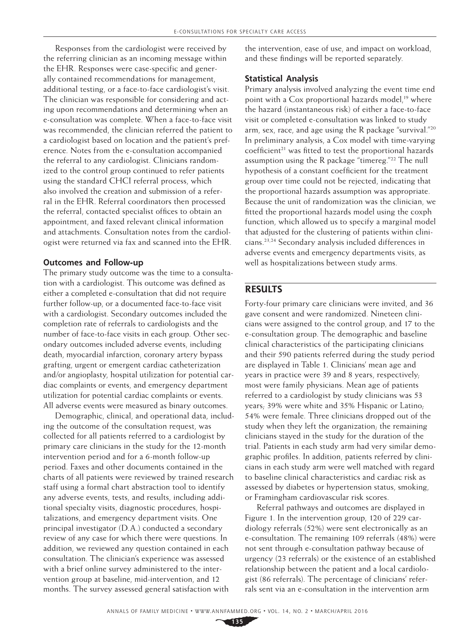Responses from the cardiologist were received by the referring clinician as an incoming message within the EHR. Responses were case-specific and generally contained recommendations for management, additional testing, or a face-to-face cardiologist's visit. The clinician was responsible for considering and acting upon recommendations and determining when an e-consultation was complete. When a face-to-face visit was recommended, the clinician referred the patient to a cardiologist based on location and the patient's preference. Notes from the e-consultation accompanied the referral to any cardiologist. Clinicians randomized to the control group continued to refer patients using the standard CHCI referral process, which also involved the creation and submission of a referral in the EHR. Referral coordinators then processed the referral, contacted specialist offices to obtain an appointment, and faxed relevant clinical information and attachments. Consultation notes from the cardiologist were returned via fax and scanned into the EHR.

#### **Outcomes and Follow-up**

The primary study outcome was the time to a consultation with a cardiologist. This outcome was defined as either a completed e-consultation that did not require further follow-up, or a documented face-to-face visit with a cardiologist. Secondary outcomes included the completion rate of referrals to cardiologists and the number of face-to-face visits in each group. Other secondary outcomes included adverse events, including death, myocardial infarction, coronary artery bypass grafting, urgent or emergent cardiac catheterization and/or angioplasty, hospital utilization for potential cardiac complaints or events, and emergency department utilization for potential cardiac complaints or events. All adverse events were measured as binary outcomes.

Demographic, clinical, and operational data, including the outcome of the consultation request, was collected for all patients referred to a cardiologist by primary care clinicians in the study for the 12-month intervention period and for a 6-month follow-up period. Faxes and other documents contained in the charts of all patients were reviewed by trained research staff using a formal chart abstraction tool to identify any adverse events, tests, and results, including additional specialty visits, diagnostic procedures, hospitalizations, and emergency department visits. One principal investigator (D.A.) conducted a secondary review of any case for which there were questions. In addition, we reviewed any question contained in each consultation. The clinician's experience was assessed with a brief online survey administered to the intervention group at baseline, mid-intervention, and 12 months. The survey assessed general satisfaction with

the intervention, ease of use, and impact on workload, and these findings will be reported separately.

#### **Statistical Analysis**

Primary analysis involved analyzing the event time end point with a Cox proportional hazards model,<sup>19</sup> where the hazard (instantaneous risk) of either a face-to-face visit or completed e-consultation was linked to study arm, sex, race, and age using the R package "survival."20 In preliminary analysis, a Cox model with time-varying coefficient<sup>21</sup> was fitted to test the proportional hazards assumption using the R package "timereg."22 The null hypothesis of a constant coefficient for the treatment group over time could not be rejected, indicating that the proportional hazards assumption was appropriate. Because the unit of randomization was the clinician, we fitted the proportional hazards model using the coxph function, which allowed us to specify a marginal model that adjusted for the clustering of patients within clinicians.23,24 Secondary analysis included differences in adverse events and emergency departments visits, as well as hospitalizations between study arms.

## **RESULTS**

Forty-four primary care clinicians were invited, and 36 gave consent and were randomized. Nineteen clinicians were assigned to the control group, and 17 to the e-consultation group. The demographic and baseline clinical characteristics of the participating clinicians and their 590 patients referred during the study period are displayed in Table 1. Clinicians' mean age and years in practice were 39 and 8 years, respectively; most were family physicians. Mean age of patients referred to a cardiologist by study clinicians was 53 years; 39% were white and 35% Hispanic or Latino; 54% were female. Three clinicians dropped out of the study when they left the organization; the remaining clinicians stayed in the study for the duration of the trial. Patients in each study arm had very similar demographic profiles. In addition, patients referred by clinicians in each study arm were well matched with regard to baseline clinical characteristics and cardiac risk as assessed by diabetes or hypertension status, smoking, or Framingham cardiovascular risk scores.

Referral pathways and outcomes are displayed in Figure 1. In the intervention group, 120 of 229 cardiology referrals (52%) were sent electronically as an e-consultation. The remaining 109 referrals (48%) were not sent through e-consultation pathway because of urgency (23 referrals) or the existence of an established relationship between the patient and a local cardiologist (86 referrals). The percentage of clinicians' referrals sent via an e-consultation in the intervention arm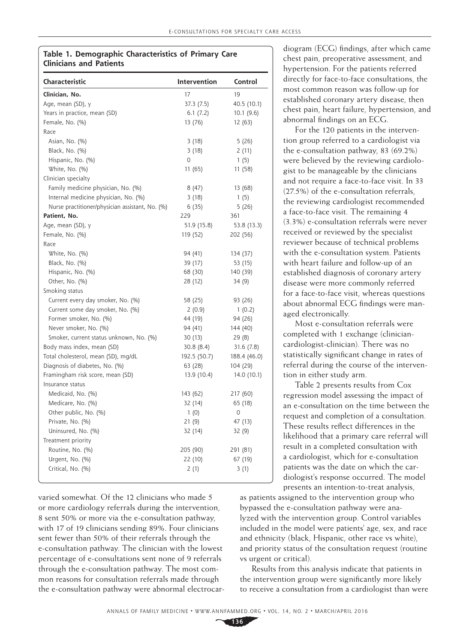#### **Table 1. Demographic Characteristics of Primary Care Clinicians and Patients**

| 19<br>Clinician, No.<br>17<br>Age, mean (SD), y<br>37.3 (7.5)<br>40.5 (10.1)<br>Years in practice, mean (SD)<br>6.1(7.2)<br>10.1 (9.6)<br>Female, No. (%)<br>13 (76)<br>12 (63)<br>Race<br>Asian, No. (%)<br>3(18)<br>5(26)<br>Black, No. (%)<br>3(18)<br>2(11)<br>Hispanic, No. (%)<br>$\Omega$<br>1(5)<br>White, No. (%)<br>11 (65)<br>11 (58)<br>Clinician specialty<br>Family medicine physician, No. (%)<br>8(47)<br>13 (68)<br>Internal medicine physician, No. (%)<br>3(18)<br>1(5)<br>Nurse practitioner/physician assistant, No. (%)<br>6(35)<br>5(26)<br>Patient, No.<br>229<br>361<br>Age, mean (SD), y<br>51.9 (15.8)<br>53.8 (13.3)<br>Female, No. (%)<br>119 (52)<br>202 (56)<br>Race<br>White, No. (%)<br>94 (41)<br>134 (37) |
|----------------------------------------------------------------------------------------------------------------------------------------------------------------------------------------------------------------------------------------------------------------------------------------------------------------------------------------------------------------------------------------------------------------------------------------------------------------------------------------------------------------------------------------------------------------------------------------------------------------------------------------------------------------------------------------------------------------------------------------------|
|                                                                                                                                                                                                                                                                                                                                                                                                                                                                                                                                                                                                                                                                                                                                              |
|                                                                                                                                                                                                                                                                                                                                                                                                                                                                                                                                                                                                                                                                                                                                              |
|                                                                                                                                                                                                                                                                                                                                                                                                                                                                                                                                                                                                                                                                                                                                              |
|                                                                                                                                                                                                                                                                                                                                                                                                                                                                                                                                                                                                                                                                                                                                              |
|                                                                                                                                                                                                                                                                                                                                                                                                                                                                                                                                                                                                                                                                                                                                              |
|                                                                                                                                                                                                                                                                                                                                                                                                                                                                                                                                                                                                                                                                                                                                              |
|                                                                                                                                                                                                                                                                                                                                                                                                                                                                                                                                                                                                                                                                                                                                              |
|                                                                                                                                                                                                                                                                                                                                                                                                                                                                                                                                                                                                                                                                                                                                              |
|                                                                                                                                                                                                                                                                                                                                                                                                                                                                                                                                                                                                                                                                                                                                              |
|                                                                                                                                                                                                                                                                                                                                                                                                                                                                                                                                                                                                                                                                                                                                              |
|                                                                                                                                                                                                                                                                                                                                                                                                                                                                                                                                                                                                                                                                                                                                              |
|                                                                                                                                                                                                                                                                                                                                                                                                                                                                                                                                                                                                                                                                                                                                              |
|                                                                                                                                                                                                                                                                                                                                                                                                                                                                                                                                                                                                                                                                                                                                              |
|                                                                                                                                                                                                                                                                                                                                                                                                                                                                                                                                                                                                                                                                                                                                              |
|                                                                                                                                                                                                                                                                                                                                                                                                                                                                                                                                                                                                                                                                                                                                              |
|                                                                                                                                                                                                                                                                                                                                                                                                                                                                                                                                                                                                                                                                                                                                              |
|                                                                                                                                                                                                                                                                                                                                                                                                                                                                                                                                                                                                                                                                                                                                              |
|                                                                                                                                                                                                                                                                                                                                                                                                                                                                                                                                                                                                                                                                                                                                              |
| Black, No. (%)<br>39 (17)<br>53 (15)                                                                                                                                                                                                                                                                                                                                                                                                                                                                                                                                                                                                                                                                                                         |
| Hispanic, No. (%)<br>68 (30)<br>140 (39)                                                                                                                                                                                                                                                                                                                                                                                                                                                                                                                                                                                                                                                                                                     |
| Other, No. (%)<br>28 (12)<br>34 (9)                                                                                                                                                                                                                                                                                                                                                                                                                                                                                                                                                                                                                                                                                                          |
| Smoking status                                                                                                                                                                                                                                                                                                                                                                                                                                                                                                                                                                                                                                                                                                                               |
| Current every day smoker, No. (%)<br>58 (25)<br>93 (26)                                                                                                                                                                                                                                                                                                                                                                                                                                                                                                                                                                                                                                                                                      |
| Current some day smoker, No. (%)<br>2(0.9)<br>1(0.2)                                                                                                                                                                                                                                                                                                                                                                                                                                                                                                                                                                                                                                                                                         |
| Former smoker, No. (%)<br>44 (19)<br>94 (26)                                                                                                                                                                                                                                                                                                                                                                                                                                                                                                                                                                                                                                                                                                 |
| Never smoker, No. (%)<br>94 (41)<br>144 (40)                                                                                                                                                                                                                                                                                                                                                                                                                                                                                                                                                                                                                                                                                                 |
| Smoker, current status unknown, No. (%)<br>30 (13)<br>29(8)                                                                                                                                                                                                                                                                                                                                                                                                                                                                                                                                                                                                                                                                                  |
| Body mass index, mean (SD)<br>31.6(7.8)<br>30.8 (8.4)                                                                                                                                                                                                                                                                                                                                                                                                                                                                                                                                                                                                                                                                                        |
| Total cholesterol, mean (SD), mg/dL<br>192.5 (50.7)<br>188.4 (46.0)                                                                                                                                                                                                                                                                                                                                                                                                                                                                                                                                                                                                                                                                          |
| Diagnosis of diabetes, No. (%)<br>63 (28)<br>104 (29)                                                                                                                                                                                                                                                                                                                                                                                                                                                                                                                                                                                                                                                                                        |
| Framingham risk score, mean (SD)<br>13.9 (10.4)<br>14.0 (10.1)                                                                                                                                                                                                                                                                                                                                                                                                                                                                                                                                                                                                                                                                               |
| Insurance status                                                                                                                                                                                                                                                                                                                                                                                                                                                                                                                                                                                                                                                                                                                             |
| Medicaid, No. (%)<br>143 (62)<br>217 (60)                                                                                                                                                                                                                                                                                                                                                                                                                                                                                                                                                                                                                                                                                                    |
| Medicare, No. (%)<br>32 (14)<br>65 (18)                                                                                                                                                                                                                                                                                                                                                                                                                                                                                                                                                                                                                                                                                                      |
| Other public, No. (%)<br>1(0)<br>$\circ$                                                                                                                                                                                                                                                                                                                                                                                                                                                                                                                                                                                                                                                                                                     |
| Private, No. (%)<br>21(9)<br>47 (13)                                                                                                                                                                                                                                                                                                                                                                                                                                                                                                                                                                                                                                                                                                         |
| Uninsured, No. (%)<br>32 (14)<br>32 (9)                                                                                                                                                                                                                                                                                                                                                                                                                                                                                                                                                                                                                                                                                                      |
| Treatment priority                                                                                                                                                                                                                                                                                                                                                                                                                                                                                                                                                                                                                                                                                                                           |
| Routine, No. (%)<br>205 (90)<br>291 (81)                                                                                                                                                                                                                                                                                                                                                                                                                                                                                                                                                                                                                                                                                                     |
| Urgent, No. (%)<br>22 (10)<br>67 (19)                                                                                                                                                                                                                                                                                                                                                                                                                                                                                                                                                                                                                                                                                                        |
| Critical, No. (%)<br>2(1)<br>3 (1)                                                                                                                                                                                                                                                                                                                                                                                                                                                                                                                                                                                                                                                                                                           |

varied somewhat. Of the 12 clinicians who made 5 or more cardiology referrals during the intervention, 8 sent 50% or more via the e-consultation pathway, with 17 of 19 clinicians sending 89%. Four clinicians sent fewer than 50% of their referrals through the e-consultation pathway. The clinician with the lowest percentage of e-consultations sent none of 9 referrals through the e-consultation pathway. The most common reasons for consultation referrals made through the e-consultation pathway were abnormal electrocardiogram (ECG) findings, after which came chest pain, preoperative assessment, and hypertension. For the patients referred directly for face-to-face consultations, the most common reason was follow-up for established coronary artery disease, then chest pain, heart failure, hypertension, and abnormal findings on an ECG.

For the 120 patients in the intervention group referred to a cardiologist via the e-consultation pathway, 83 (69.2%) were believed by the reviewing cardiologist to be manageable by the clinicians and not require a face-to-face visit. In 33 (27.5%) of the e-consultation referrals, the reviewing cardiologist recommended a face-to-face visit. The remaining 4 (3.3%) e-consultation referrals were never received or reviewed by the specialist reviewer because of technical problems with the e-consultation system. Patients with heart failure and follow-up of an established diagnosis of coronary artery disease were more commonly referred for a face-to-face visit, whereas questions about abnormal ECG findings were managed electronically.

Most e-consultation referrals were completed with 1 exchange (cliniciancardiologist-clinician). There was no statistically significant change in rates of referral during the course of the intervention in either study arm.

Table 2 presents results from Cox regression model assessing the impact of an e-consultation on the time between the request and completion of a consultation. These results reflect differences in the likelihood that a primary care referral will result in a completed consultation with a cardiologist, which for e-consultation patients was the date on which the cardiologist's response occurred. The model presents an intention-to-treat analysis,

as patients assigned to the intervention group who bypassed the e-consultation pathway were analyzed with the intervention group. Control variables included in the model were patients' age, sex, and race and ethnicity (black, Hispanic, other race vs white), and priority status of the consultation request (routine vs urgent or critical).

Results from this analysis indicate that patients in the intervention group were significantly more likely to receive a consultation from a cardiologist than were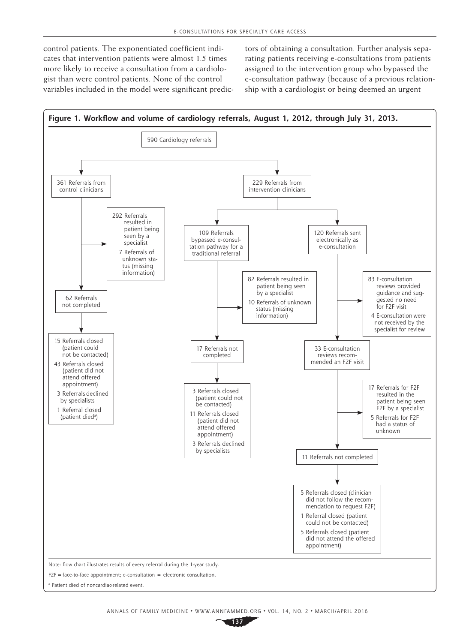control patients. The exponentiated coefficient indicates that intervention patients were almost 1.5 times more likely to receive a consultation from a cardiologist than were control patients. None of the control variables included in the model were significant predictors of obtaining a consultation. Further analysis separating patients receiving e-consultations from patients assigned to the intervention group who bypassed the e-consultation pathway (because of a previous relationship with a cardiologist or being deemed an urgent

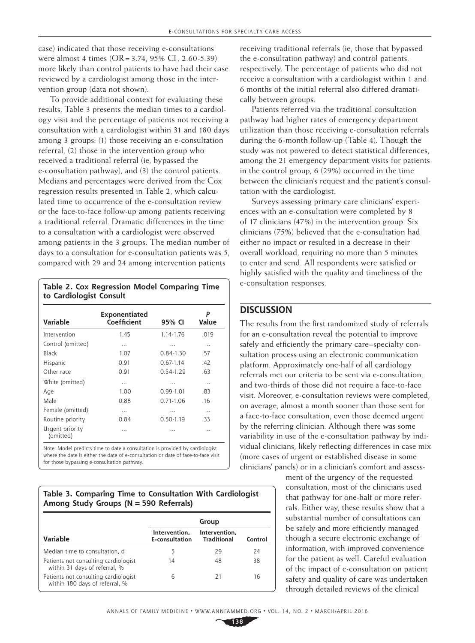case) indicated that those receiving e-consultations were almost 4 times (OR=3.74, 95% CI, 2.60-5.39) more likely than control patients to have had their case reviewed by a cardiologist among those in the intervention group (data not shown).

To provide additional context for evaluating these results, Table 3 presents the median times to a cardiology visit and the percentage of patients not receiving a consultation with a cardiologist within 31 and 180 days among 3 groups: (1) those receiving an e-consultation referral, (2) those in the intervention group who received a traditional referral (ie, bypassed the e-consultation pathway), and (3) the control patients. Medians and percentages were derived from the Cox regression results presented in Table 2, which calculated time to occurrence of the e-consultation review or the face-to-face follow-up among patients receiving a traditional referral. Dramatic differences in the time to a consultation with a cardiologist were observed among patients in the 3 groups. The median number of days to a consultation for e-consultation patients was 5, compared with 29 and 24 among intervention patients

#### **Table 2. Cox Regression Model Comparing Time to Cardiologist Consult**

| <b>Variable</b>              | Exponentiated<br>Coefficient | 95% CI        | P<br>Value |
|------------------------------|------------------------------|---------------|------------|
| Intervention                 | 1.45                         | 1.14-1.76     | .019       |
| Control (omitted)            | .                            | .             | .          |
| Black                        | 1.07                         | $0.84 - 1.30$ | .57        |
| Hispanic                     | 0.91                         | $0.67 - 1.14$ | .42        |
| Other race                   | 0.91                         | $0.54 - 1.29$ | .63        |
| White (omitted)              | .                            | .             | .          |
| Age                          | 1.00                         | $0.99 - 1.01$ | .83        |
| Male                         | 0.88                         | $0.71 - 1.06$ | .16        |
| Female (omitted)             | $\cdots$                     | .             | .          |
| Routine priority             | 0.84                         | $0.50 - 1.19$ | .33        |
| Urgent priority<br>(omitted) | .                            | .             | .          |

Note: Model predicts time to date a consultation is provided by cardiologist where the date is either the date of e-consultation or date of face-to-face visit for those bypassing e-consultation pathway.

**Table 3. Comparing Time to Consultation With Cardiologist Among Study Groups (N=590 Referrals)**

|                                                                        | Group                                  |                                     |         |  |
|------------------------------------------------------------------------|----------------------------------------|-------------------------------------|---------|--|
| Variable                                                               | Intervention,<br><b>E-consultation</b> | Intervention,<br><b>Traditional</b> | Control |  |
| Median time to consultation, d                                         | 5                                      | 29                                  | 24      |  |
| Patients not consulting cardiologist<br>within 31 days of referral, %  | 14                                     | 48                                  | 38      |  |
| Patients not consulting cardiologist<br>within 180 days of referral, % | 6                                      | 21                                  | 16      |  |

receiving traditional referrals (ie, those that bypassed the e-consultation pathway) and control patients, respectively. The percentage of patients who did not receive a consultation with a cardiologist within 1 and 6 months of the initial referral also differed dramatically between groups.

Patients referred via the traditional consultation pathway had higher rates of emergency department utilization than those receiving e-consultation referrals during the 6-month follow-up (Table 4). Though the study was not powered to detect statistical differences, among the 21 emergency department visits for patients in the control group, 6 (29%) occurred in the time between the clinician's request and the patient's consultation with the cardiologist.

Surveys assessing primary care clinicians' experiences with an e-consultation were completed by 8 of 17 clinicians (47%) in the intervention group. Six clinicians (75%) believed that the e-consultation had either no impact or resulted in a decrease in their overall workload, requiring no more than 5 minutes to enter and send. All respondents were satisfied or highly satisfied with the quality and timeliness of the e-consultation responses.

# **DISCUSSION**

The results from the first randomized study of referrals for an e-consultation reveal the potential to improve safely and efficiently the primary care–specialty consultation process using an electronic communication platform. Approximately one-half of all cardiology referrals met our criteria to be sent via e-consultation, and two-thirds of those did not require a face-to-face visit. Moreover, e-consultation reviews were completed, on average, almost a month sooner than those sent for a face-to-face consultation, even those deemed urgent by the referring clinician. Although there was some variability in use of the e-consultation pathway by individual clinicians, likely reflecting differences in case mix (more cases of urgent or established disease in some clinicians' panels) or in a clinician's comfort and assess-

> ment of the urgency of the requested consultation, most of the clinicians used that pathway for one-half or more referrals. Either way, these results show that a substantial number of consultations can be safely and more efficiently managed though a secure electronic exchange of information, with improved convenience for the patient as well. Careful evaluation of the impact of e-consultation on patient safety and quality of care was undertaken through detailed reviews of the clinical

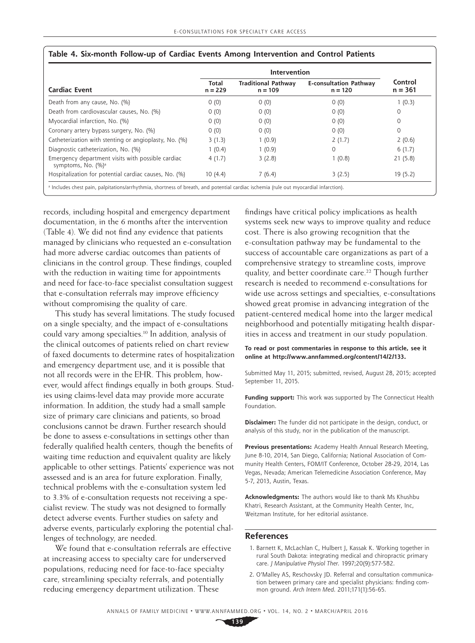|                                                                                     | Intervention       |                                         |                                            |                      |
|-------------------------------------------------------------------------------------|--------------------|-----------------------------------------|--------------------------------------------|----------------------|
| <b>Cardiac Event</b>                                                                | Total<br>$n = 229$ | <b>Traditional Pathway</b><br>$n = 109$ | <b>E-consultation Pathway</b><br>$n = 120$ | Control<br>$n = 361$ |
| Death from any cause, No. (%)                                                       | 0(0)               | 0(0)                                    | 0(0)                                       | 1(0.3)               |
| Death from cardiovascular causes, No. (%)                                           | 0(0)               | 0(0)                                    | 0(0)                                       | $\mathbf 0$          |
| Myocardial infarction, No. (%)                                                      | 0(0)               | 0(0)                                    | 0(0)                                       | $\circ$              |
| Coronary artery bypass surgery, No. (%)                                             | 0(0)               | 0(0)                                    | 0(0)                                       | $\Omega$             |
| Catheterization with stenting or angioplasty, No. (%)                               | 3(1.3)             | 1(0.9)                                  | 2(1.7)                                     | 2(0.6)               |
| Diagnostic catheterization, No. (%)                                                 | 1(0.4)             | 1(0.9)                                  | $\Omega$                                   | 6(1.7)               |
| Emergency department visits with possible cardiac<br>symptoms, No. (%) <sup>a</sup> | 4(1.7)             | 3(2.8)                                  | 1(0.8)                                     | 21(5.8)              |
| Hospitalization for potential cardiac causes, No. (%)                               | 10(4.4)            | 7(6.4)                                  | 3(2.5)                                     | 19(5.2)              |

#### **Table 4. Six-month Follow-up of Cardiac Events Among Intervention and Control Patients**

records, including hospital and emergency department documentation, in the 6 months after the intervention (Table 4). We did not find any evidence that patients managed by clinicians who requested an e-consultation had more adverse cardiac outcomes than patients of clinicians in the control group. These findings, coupled with the reduction in waiting time for appointments and need for face-to-face specialist consultation suggest that e-consultation referrals may improve efficiency without compromising the quality of care.

This study has several limitations. The study focused on a single specialty, and the impact of e-consultations could vary among specialties.10 In addition, analysis of the clinical outcomes of patients relied on chart review of faxed documents to determine rates of hospitalization and emergency department use, and it is possible that not all records were in the EHR. This problem, however, would affect findings equally in both groups. Studies using claims-level data may provide more accurate information. In addition, the study had a small sample size of primary care clinicians and patients, so broad conclusions cannot be drawn. Further research should be done to assess e-consultations in settings other than federally qualified health centers, though the benefits of waiting time reduction and equivalent quality are likely applicable to other settings. Patients' experience was not assessed and is an area for future exploration. Finally, technical problems with the e-consultation system led to 3.3% of e-consultation requests not receiving a specialist review. The study was not designed to formally detect adverse events. Further studies on safety and adverse events, particularly exploring the potential challenges of technology, are needed.

We found that e-consultation referrals are effective at increasing access to specialty care for underserved populations, reducing need for face-to-face specialty care, streamlining specialty referrals, and potentially reducing emergency department utilization. These

findings have critical policy implications as health systems seek new ways to improve quality and reduce cost. There is also growing recognition that the e-consultation pathway may be fundamental to the success of accountable care organizations as part of a comprehensive strategy to streamline costs, improve quality, and better coordinate care.<sup>22</sup> Though further research is needed to recommend e-consultations for wide use across settings and specialties, e-consultations showed great promise in advancing integration of the patient-centered medical home into the larger medical neighborhood and potentially mitigating health disparities in access and treatment in our study population.

#### **To read or post commentaries in response to this article, see it online at [http://www.annfammed.org/content/14/2/133.](http://www.annfammed.org/content/14/2/133)**

Submitted May 11, 2015; submitted, revised, August 28, 2015; accepted September 11, 2015.

**Funding support:** This work was supported by The Connecticut Health Foundation.

**Disclaimer:** The funder did not participate in the design, conduct, or analysis of this study, nor in the publication of the manuscript.

**Previous presentations:** Academy Health Annual Research Meeting, June 8-10, 2014, San Diego, California; National Association of Community Health Centers, FOM/IT Conference, October 28-29, 2014, Las Vegas, Nevada; American Telemedicine Association Conference, May 5-7, 2013, Austin, Texas.

**Acknowledgments:** The authors would like to thank Ms Khushbu Khatri, Research Assistant, at the Community Health Center, Inc, Weitzman Institute, for her editorial assistance.

#### **References**

- 1. Barnett K, McLachlan C, Hulbert J, Kassak K. Working together in rural South Dakota: integrating medical and chiropractic primary care. *J Manipulative Physiol Ther*. 1997;20(9):577-582.
- 2. O'Malley AS, Reschovsky JD. Referral and consultation communication between primary care and specialist physicians: finding common ground. *Arch Intern Med*. 2011;171(1):56-65.